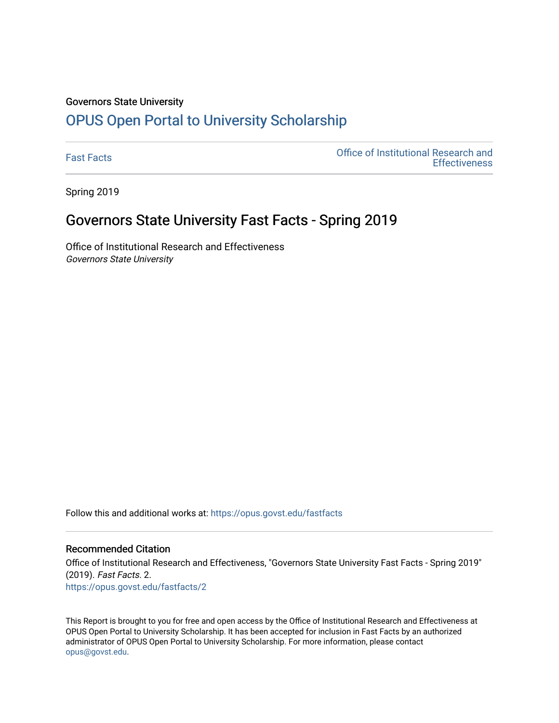#### Governors State University

## [OPUS Open Portal to University Scholarship](https://opus.govst.edu/)

[Fast Facts](https://opus.govst.edu/fastfacts) [Office of Institutional Research and](https://opus.govst.edu/ir)  **Effectiveness** 

Spring 2019

### Governors State University Fast Facts - Spring 2019

Office of Institutional Research and Effectiveness Governors State University

Follow this and additional works at: [https://opus.govst.edu/fastfacts](https://opus.govst.edu/fastfacts?utm_source=opus.govst.edu%2Ffastfacts%2F2&utm_medium=PDF&utm_campaign=PDFCoverPages)

### Recommended Citation

Office of Institutional Research and Effectiveness, "Governors State University Fast Facts - Spring 2019" (2019). Fast Facts. 2. [https://opus.govst.edu/fastfacts/2](https://opus.govst.edu/fastfacts/2?utm_source=opus.govst.edu%2Ffastfacts%2F2&utm_medium=PDF&utm_campaign=PDFCoverPages)

This Report is brought to you for free and open access by the Office of Institutional Research and Effectiveness at OPUS Open Portal to University Scholarship. It has been accepted for inclusion in Fast Facts by an authorized administrator of OPUS Open Portal to University Scholarship. For more information, please contact [opus@govst.edu](mailto:opus@govst.edu).